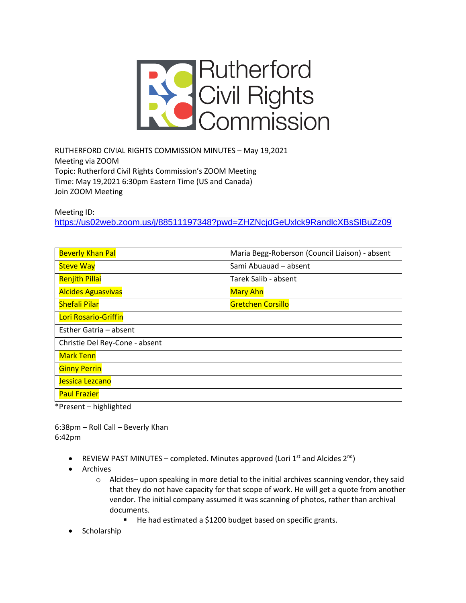

RUTHERFORD CIVIAL RIGHTS COMMISSION MINUTES – May 19,2021 Meeting via ZOOM Topic: Rutherford Civil Rights Commission's ZOOM Meeting Time: May 19,2021 6:30pm Eastern Time (US and Canada) Join ZOOM Meeting

Meeting ID: <https://us02web.zoom.us/j/88511197348?pwd=ZHZNcjdGeUxlck9RandlcXBsSlBuZz09>

| <b>Beverly Khan Pal</b>        | Maria Begg-Roberson (Council Liaison) - absent |
|--------------------------------|------------------------------------------------|
| <b>Steve Way</b>               | Sami Abuauad - absent                          |
| <b>Renjith Pillai</b>          | Tarek Salib - absent                           |
| <b>Alcides Aguasvivas</b>      | <b>Mary Ahn</b>                                |
| <b>Shefali Pilar</b>           | <b>Gretchen Corsillo</b>                       |
| Lori Rosario-Griffin           |                                                |
| Esther Gatria - absent         |                                                |
| Christie Del Rey-Cone - absent |                                                |
| <b>Mark Tenn</b>               |                                                |
| <b>Ginny Perrin</b>            |                                                |
| Jessica Lezcano                |                                                |
| <b>Paul Frazier</b>            |                                                |

\*Present – highlighted

6:38pm – Roll Call – Beverly Khan 6:42pm

- REVIEW PAST MINUTES completed. Minutes approved (Lori  $1<sup>st</sup>$  and Alcides  $2<sup>nd</sup>$ )
- Archives
	- o Alcides– upon speaking in more detial to the initial archives scanning vendor, they said that they do not have capacity for that scope of work. He will get a quote from another vendor. The initial company assumed it was scanning of photos, rather than archival documents.
		- He had estimated a \$1200 budget based on specific grants.
- Scholarship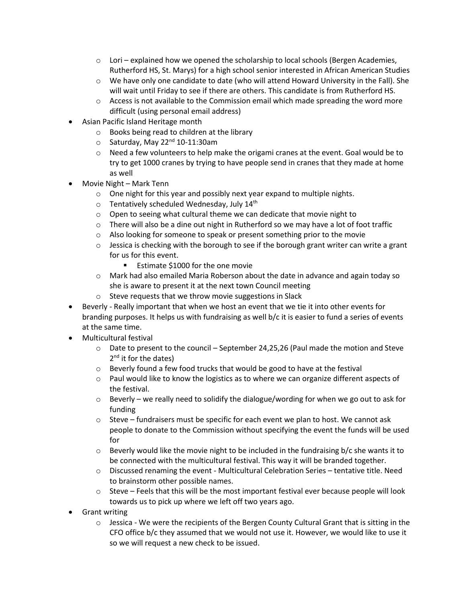- $\circ$  Lori explained how we opened the scholarship to local schools (Bergen Academies, Rutherford HS, St. Marys) for a high school senior interested in African American Studies
- $\circ$  We have only one candidate to date (who will attend Howard University in the Fall). She will wait until Friday to see if there are others. This candidate is from Rutherford HS.
- $\circ$  Access is not available to the Commission email which made spreading the word more difficult (using personal email address)
- Asian Pacific Island Heritage month
	- o Books being read to children at the library
	- $\circ$  Saturday, May 22<sup>nd</sup> 10-11:30am
	- $\circ$  Need a few volunteers to help make the origami cranes at the event. Goal would be to try to get 1000 cranes by trying to have people send in cranes that they made at home as well
- Movie Night Mark Tenn
	- o One night for this year and possibly next year expand to multiple nights.
	- $\circ$  Tentatively scheduled Wednesday, July 14<sup>th</sup>
	- o Open to seeing what cultural theme we can dedicate that movie night to
	- $\circ$  There will also be a dine out night in Rutherford so we may have a lot of foot traffic
	- o Also looking for someone to speak or present something prior to the movie
	- $\circ$  Jessica is checking with the borough to see if the borough grant writer can write a grant for us for this event.
		- Estimate \$1000 for the one movie
	- o Mark had also emailed Maria Roberson about the date in advance and again today so she is aware to present it at the next town Council meeting
	- o Steve requests that we throw movie suggestions in Slack
- Beverly Really important that when we host an event that we tie it into other events for branding purposes. It helps us with fundraising as well b/c it is easier to fund a series of events at the same time.
- Multicultural festival
	- $\circ$  Date to present to the council September 24,25,26 (Paul made the motion and Steve 2<sup>nd</sup> it for the dates)
	- o Beverly found a few food trucks that would be good to have at the festival
	- $\circ$  Paul would like to know the logistics as to where we can organize different aspects of the festival.
	- $\circ$  Beverly we really need to solidify the dialogue/wording for when we go out to ask for funding
	- $\circ$  Steve fundraisers must be specific for each event we plan to host. We cannot ask people to donate to the Commission without specifying the event the funds will be used for
	- $\circ$  Beverly would like the movie night to be included in the fundraising b/c she wants it to be connected with the multicultural festival. This way it will be branded together.
	- $\circ$  Discussed renaming the event Multicultural Celebration Series tentative title. Need to brainstorm other possible names.
	- $\circ$  Steve Feels that this will be the most important festival ever because people will look towards us to pick up where we left off two years ago.
- Grant writing
	- $\circ$  Jessica We were the recipients of the Bergen County Cultural Grant that is sitting in the CFO office b/c they assumed that we would not use it. However, we would like to use it so we will request a new check to be issued.